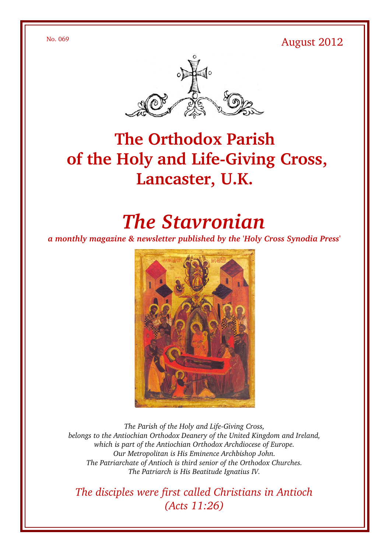$N_0$ . 069 August 2012



## **The Orthodox Parish** of the Holy and Life-Giving Cross, **Lancaster, U.K.**

# *The Stavronian*

*a monthly magazine & newsletter published by the 'Holy Cross Synodia Press'*



The Parish of the Holy and Life-Giving Cross, *belongs to the Antiochian Orthodox Deanery of the United Kingdom and Ireland, which is part of the Antiochian Orthodox Archdiocese of Europe. Our Metropolitan is His Eminence Archbishop John. The Patriarchate of Antioch is third senior of the Orthodox Churches. The Patriarch is His Beatitude Ignatius IV.*

*The disciples were first called Christians in Antioch (Acts 11:26)*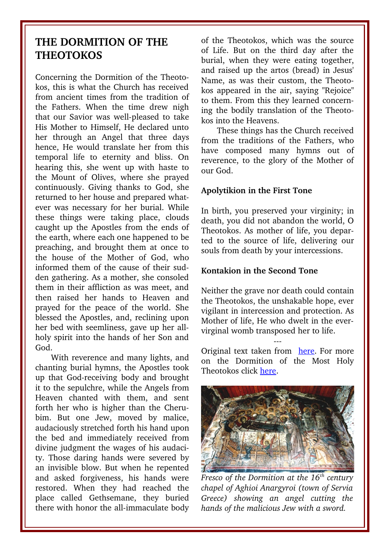## **THE DORMITION OF THE THEOTOKOS**

Concerning the Dormition of the Theotokos, this is what the Church has received from ancient times from the tradition of the Fathers. When the time drew nigh that our Savior was well-pleased to take His Mother to Himself, He declared unto her through an Angel that three days hence, He would translate her from this temporal life to eternity and bliss. On hearing this, she went up with haste to the Mount of Olives, where she prayed continuously. Giving thanks to God, she returned to her house and prepared whatever was necessary for her burial. While these things were taking place, clouds caught up the Apostles from the ends of the earth, where each one happened to be preaching, and brought them at once to the house of the Mother of God, who informed them of the cause of their sudden gathering. As a mother, she consoled them in their affliction as was meet, and then raised her hands to Heaven and prayed for the peace of the world. She blessed the Apostles, and, reclining upon her bed with seemliness, gave up her allholy spirit into the hands of her Son and God.

With reverence and many lights, and chanting burial hymns, the Apostles took up that God-receiving body and brought it to the sepulchre, while the Angels from Heaven chanted with them, and sent forth her who is higher than the Cherubim. But one Jew, moved by malice, audaciously stretched forth his hand upon the bed and immediately received from divine judgment the wages of his audacity. Those daring hands were severed by an invisible blow. But when he repented and asked forgiveness, his hands were restored. When they had reached the place called Gethsemane, they buried there with honor the all-immaculate body of the Theotokos, which was the source of Life. But on the third day after the burial, when they were eating together, and raised up the artos (bread) in Jesus' Name, as was their custom, the Theotokos appeared in the air, saying "Rejoice" to them. From this they learned concerning the bodily translation of the Theotokos into the Heavens.

These things has the Church received from the traditions of the Fathers, who have composed many hymns out of reverence, to the glory of the Mother of our God.

#### **Apolytikion in the First Tone**

In birth, you preserved your virginity; in death, you did not abandon the world, O Theotokos. As mother of life, you departed to the source of life, delivering our souls from death by your intercessions.

#### **Kontakion in the Second Tone**

Neither the grave nor death could contain the Theotokos, the unshakable hope, ever vigilant in intercession and protection. As Mother of life, He who dwelt in the evervirginal womb transposed her to life.

Original text taken from [here.](http://www.goarch.org/chapel/saints_view?contentid=165) For more on the Dormition of the Most Holy Theotokos click [here.](http://oca.org/FeastSaintsViewer.asp?SID=4&ID=1&FSID=102302)

---



*Fresco of the Dormition at the 16th century chapel of Aghioi Anargyroi (town of Servia Greece) showing an angel cutting the hands of the malicious Jew with a sword.*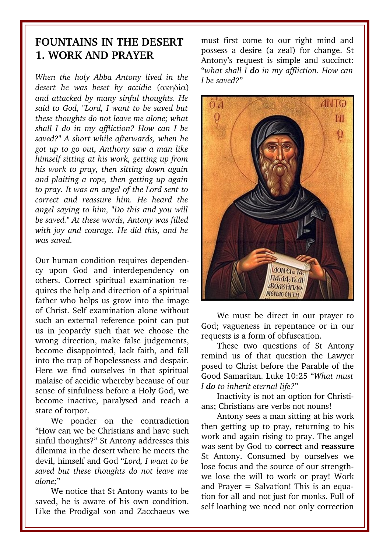#### **FOUNTAINS IN THE DESERT 1. WORK AND PRAYER**

*When the holy Abba Antony lived in the desert he was beset by accidie* (ακηδία) *and attacked by many sinful thoughts. He said to God, "Lord, I want to be saved but these thoughts do not leave me alone; what shall I do in my affliction? How can I be saved?" A short while afterwards, when he got up to go out, Anthony saw a man like himself sitting at his work, getting up from his work to pray, then sitting down again and plaiting a rope, then getting up again to pray. It was an angel of the Lord sent to correct and reassure him. He heard the angel saying to him, "Do this and you will be saved." At these words, Antony was filled with joy and courage. He did this, and he was saved.*

Our human condition requires dependency upon God and interdependency on others. Correct spiritual examination requires the help and direction of a spiritual father who helps us grow into the image of Christ. Self examination alone without such an external reference point can put us in jeopardy such that we choose the wrong direction, make false judgements, become disappointed, lack faith, and fall into the trap of hopelessness and despair. Here we find ourselves in that spiritual malaise of accidie whereby because of our sense of sinfulness before a Holy God, we become inactive, paralysed and reach a state of torpor.

We ponder on the contradiction "How can we be Christians and have such sinful thoughts?" St Antony addresses this dilemma in the desert where he meets the devil, himself and God "*Lord, I want to be saved but these thoughts do not leave me alone;*"

We notice that St Antony wants to be saved, he is aware of his own condition. Like the Prodigal son and Zacchaeus we

must first come to our right mind and possess a desire (a zeal) for change. St Antony's request is simple and succinct: "*what shall I do in my affliction. How can I be saved?*"



We must be direct in our prayer to God; vagueness in repentance or in our requests is a form of obfuscation.

These two questions of St Antony remind us of that question the Lawyer posed to Christ before the Parable of the Good Samaritan. Luke 10:25 "*What must I do to inherit eternal life?*"

Inactivity is not an option for Christians; Christians are verbs not nouns!

Antony sees a man sitting at his work then getting up to pray, returning to his work and again rising to pray. The angel was sent by God to **correct** and **reassure** St Antony. Consumed by ourselves we lose focus and the source of our strengthwe lose the will to work or pray! Work and Prayer = Salvation! This is an equation for all and not just for monks. Full of self loathing we need not only correction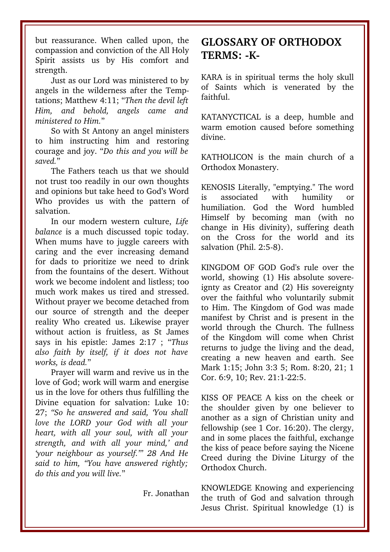but reassurance. When called upon, the compassion and conviction of the All Holy Spirit assists us by His comfort and strength.

Just as our Lord was ministered to by angels in the wilderness after the Temptations; Matthew 4:11; "*Then the devil left Him, and behold, ministered to Him.*"

So with St Antony an angel ministers to him instructing him and restoring courage and joy. "*Do this and you will be saved.*"

The Fathers teach us that we should not trust too readily in our own thoughts and opinions but take heed to God's Word Who provides us with the pattern of salvation.

In our modern western culture, *Life balance* is a much discussed topic today. When mums have to juggle careers with caring and the ever increasing demand for dads to prioritize we need to drink from the fountains of the desert. Without work we become indolent and listless: too much work makes us tired and stressed. Without prayer we become detached from our source of strength and the deeper reality Who created us. Likewise prayer without action is fruitless, as St James says in his epistle: James 2:17 ; "*Thus also faith by itself, if it does not have works, is dead.*"

Prayer will warm and revive us in the love of God; work will warm and energise us in the love for others thus fulfilling the Divine equation for salvation: Luke 10: 27; *"So he answered and said, 'You shall love the LORD your God with all your heart, with all your soul, with all your strength, and with all your mind,' and 'your neighbour as yourself.'" 28 And He said to him, "You have answered rightly; do this and you will live.*"

Fr. Jonathan

## **GLOSSARY OF ORTHODOX** TERMS: -K-

KARA is in spiritual terms the holy skull of Saints which is venerated by the faithful.

KATANYCTICAL is a deep, humble and warm emotion caused before something divine.

KATHOLICON is the main church of a Orthodox Monastery.

KENOSIS Literally, "emptying." The word is associated with humility or humiliation. God the Word humbled Himself by becoming man (with no change in His divinity), suffering death on the Cross for the world and its salvation (Phil. 2:5-8).

KINGDOM OF GOD God's rule over the world, showing (1) His absolute sovereignty as Creator and (2) His sovereignty over the faithful who voluntarily submit to Him. The Kingdom of God was made manifest by Christ and is present in the world through the Church. The fullness of the Kingdom will come when Christ returns to judge the living and the dead, creating a new heaven and earth. See Mark 1:15; John 3:3 5; Rom. 8:20, 21; 1 Cor. 6:9, 10; Rev. 21:1-22:5.

KISS OF PEACE A kiss on the cheek or the shoulder given by one believer to another as a sign of Christian unity and fellowship (see 1 Cor. 16:20). The clergy, and in some places the faithful, exchange the kiss of peace before saying the Nicene Creed during the Divine Liturgy of the Orthodox Church.

KNOWLEDGE Knowing and experiencing the truth of God and salvation through Jesus Christ. Spiritual knowledge (1) is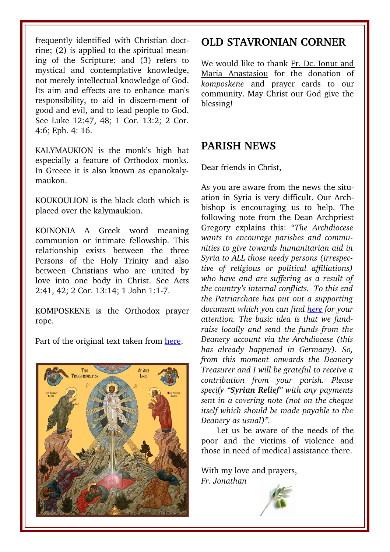frequently identified with Christian doctrine; (2) is applied to the spiritual meaning of the Scripture: and (3) refers to mystical and contemplative knowledge, not merely intellectual knowledge of God. Its aim and effects are to enhance man's responsibility, to aid in discern-ment of good and evil, and to lead people to God. See Luke 12:47, 48; 1 Cor. 13:2; 2 Cor. 4:6; Eph. 4: 16.

KALYMAUKION is the monk's high hat especially a feature of Orthodox monks. In Greece it is also known as epanokalymaukon.

KOUKOULION is the black cloth which is placed over the kalymaukion.

KOINONIA A Greek word meaning communion or intimate fellowship. This relationship exists between the three Persons of the Holy Trinity and also between Christians who are united by love into one body in Christ. See Acts 2:41, 42; 2 Cor. 13:14; 1 John 1:1-7.

KOMPOSKENE is the Orthodox prayer rope.

Part of the original text taken from [here.](http://www.antiochian.org/theology/glossary_of_orthodox_terminology.htm)



#### **OLD STAVRONIAN CORNER**

We would like to thank Fr. Dc. Ionut and Maria Anastasiou for the donation of *komposkene* and prayer cards to our community. May Christ our God give the blessing!

#### **PARISH NEWS**

Dear friends in Christ,

As you are aware from the news the situation in Syria is very difficult. Our Archbishop is encouraging us to help. The following note from the Dean Archpriest Gregory explains this: "*The Archdiocese wants to encourage parishes and communities to give towards humanitarian aid in Syria to ALL those needy persons (irrespective of religious or political affiliations) who have and are suffering as a result of the country's internal conflicts. To this end the Patriarchate has put out a supporting document which you can find [here](http://www.antiochian.org/sites/antiochian.org/files/patriarchate-derd-report.pdf) for your attention. The basic idea is that we fundraise locally and send the funds from the Deanery account via the Archdiocese (this has already happened in Germany). So, from this moment onwards the Deanery Treasurer and I will be grateful to receive a contribution from your parish. Please specify "Syrian Relief" with any payments sent in a covering note (not on the cheque itself which should be made payable to the Deanery as usual)".*

Let us be aware of the needs of the poor and the victims of violence and those in need of medical assistance there.

With my love and prayers, *Fr. Jonathan*